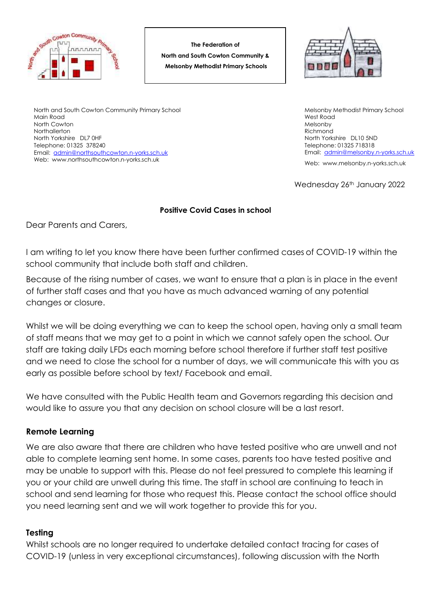

**The Federation of North and South Cowton Community & Melsonby Methodist Primary Schools**



North and South Cowton Community Primary School Main Road North Cowton **Northallerton** North Yorkshire DL7 0HF Telephone: 01325 378240 Email: [admin@northsouthcowton.n-yorks.sch.uk](mailto:admin@northsouthcowton.n-yorks.sch.uk) Web: www.northsouthcowton.n-yorks.sch.uk

Melsonby Methodist Primary School West Road Melsonby Richmond North Yorkshire DL10 5ND Telephone: 01325 718318 Email: [admin@melsonby.n-yorks.sch.uk](mailto:admin@melsonby.n-yorks.sch.uk)

Web: www.melsonby.n-yorks.sch.uk

Wednesday 26<sup>th</sup> January 2022

## **Positive Covid Cases in school**

Dear Parents and Carers,

I am writing to let you know there have been further confirmed cases of COVID-19 within the school community that include both staff and children.

Because of the rising number of cases, we want to ensure that a plan is in place in the event of further staff cases and that you have as much advanced warning of any potential changes or closure.

Whilst we will be doing everything we can to keep the school open, having only a small team of staff means that we may get to a point in which we cannot safely open the school. Our staff are taking daily LFDs each morning before school therefore if further staff test positive and we need to close the school for a number of days, we will communicate this with you as early as possible before school by text/ Facebook and email.

We have consulted with the Public Health team and Governors regarding this decision and would like to assure you that any decision on school closure will be a last resort.

## **Remote Learning**

We are also aware that there are children who have tested positive who are unwell and not able to complete learning sent home. In some cases, parents too have tested positive and may be unable to support with this. Please do not feel pressured to complete this learning if you or your child are unwell during this time. The staff in school are continuing to teach in school and send learning for those who request this. Please contact the school office should you need learning sent and we will work together to provide this for you.

## **Testing**

Whilst schools are no longer required to undertake detailed contact tracing for cases of COVID-19 (unless in very exceptional circumstances), following discussion with the North